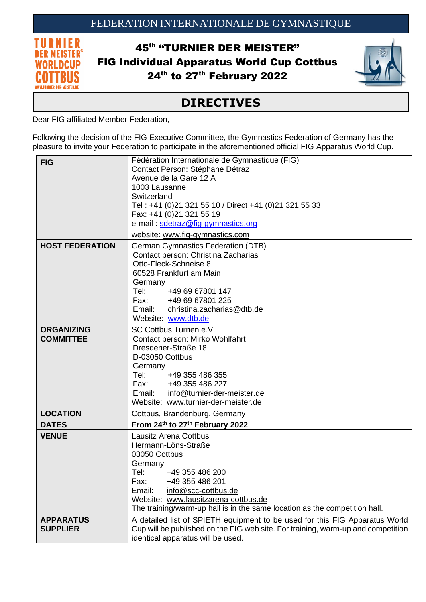

45<sup>th</sup> "TURNIER DER MEISTER" FIG Individual Apparatus World Cup Cottbus 24<sup>th</sup> to 27<sup>th</sup> February 2022



## **DIRECTIVES**

Dear FIG affiliated Member Federation,

Following the decision of the FIG Executive Committee, the Gymnastics Federation of Germany has the pleasure to invite your Federation to participate in the aforementioned official FIG Apparatus World Cup.

| <b>FIG</b>                            | Fédération Internationale de Gymnastique (FIG)<br>Contact Person: Stéphane Détraz<br>Avenue de la Gare 12 A<br>1003 Lausanne<br>Switzerland<br>Tel: +41 (0)21 321 55 10 / Direct +41 (0)21 321 55 33<br>Fax: +41 (0)21 321 55 19<br>e-mail: sdetraz@fig-gymnastics.org                       |
|---------------------------------------|----------------------------------------------------------------------------------------------------------------------------------------------------------------------------------------------------------------------------------------------------------------------------------------------|
|                                       | website: www.fig-gymnastics.com                                                                                                                                                                                                                                                              |
| <b>HOST FEDERATION</b>                | <b>German Gymnastics Federation (DTB)</b><br>Contact person: Christina Zacharias<br>Otto-Fleck-Schneise 8<br>60528 Frankfurt am Main<br>Germany<br>Tel:<br>+49 69 67801 147<br>Fax: +49 69 67801 225<br>Email:<br>christina.zacharias@dtb.de<br>Website: www.dtb.de                          |
| <b>ORGANIZING</b><br><b>COMMITTEE</b> | SC Cottbus Turnen e.V.<br>Contact person: Mirko Wohlfahrt<br>Dresdener-Straße 18<br>D-03050 Cottbus<br>Germany<br>Tel: Tel<br>+49 355 486 355<br>Fax: +49 355 486 227<br>Email: info@turnier-der-meister.de<br>Website: www.turnier-der-meister.de                                           |
| <b>LOCATION</b>                       | Cottbus, Brandenburg, Germany                                                                                                                                                                                                                                                                |
| <b>DATES</b>                          | From 24th to 27th February 2022                                                                                                                                                                                                                                                              |
| <b>VENUE</b>                          | <b>Lausitz Arena Cottbus</b><br>Hermann-Löns-Straße<br>03050 Cottbus<br>Germany<br>Tel:<br>+49 355 486 200<br>+49 355 486 201<br>Fax:<br>Email:<br>info@scc-cottbus.de<br>Website: www.lausitzarena-cottbus.de<br>The training/warm-up hall is in the same location as the competition hall. |
| <b>APPARATUS</b><br><b>SUPPLIER</b>   | A detailed list of SPIETH equipment to be used for this FIG Apparatus World<br>Cup will be published on the FIG web site. For training, warm-up and competition<br>identical apparatus will be used.                                                                                         |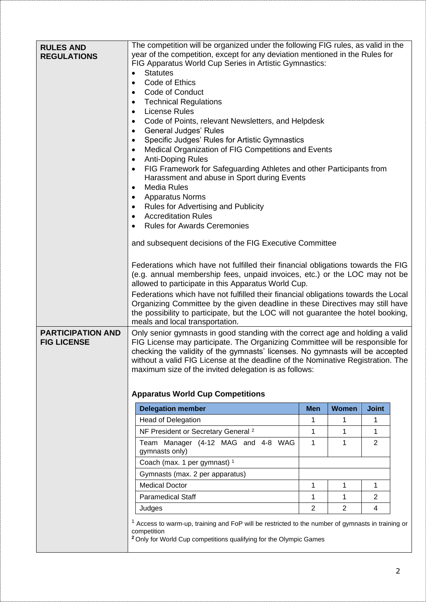| <b>RULES AND</b><br><b>REGULATIONS</b>         | The competition will be organized under the following FIG rules, as valid in the<br>year of the competition, except for any deviation mentioned in the Rules for<br>FIG Apparatus World Cup Series in Artistic Gymnastics:<br><b>Statutes</b><br>$\bullet$<br>Code of Ethics<br>٠<br>Code of Conduct<br><b>Technical Regulations</b><br><b>License Rules</b><br>$\bullet$<br>Code of Points, relevant Newsletters, and Helpdesk<br>$\bullet$<br><b>General Judges' Rules</b><br>$\bullet$<br>Specific Judges' Rules for Artistic Gymnastics<br>$\bullet$<br>Medical Organization of FIG Competitions and Events<br>$\bullet$<br><b>Anti-Doping Rules</b><br>$\bullet$<br>FIG Framework for Safeguarding Athletes and other Participants from<br>$\bullet$<br>Harassment and abuse in Sport during Events<br><b>Media Rules</b><br>٠<br><b>Apparatus Norms</b><br>٠<br><b>Rules for Advertising and Publicity</b><br>$\bullet$<br><b>Accreditation Rules</b><br>$\bullet$<br><b>Rules for Awards Ceremonies</b><br>and subsequent decisions of the FIG Executive Committee<br>Federations which have not fulfilled their financial obligations towards the FIG<br>(e.g. annual membership fees, unpaid invoices, etc.) or the LOC may not be<br>allowed to participate in this Apparatus World Cup.<br>Federations which have not fulfilled their financial obligations towards the Local<br>Organizing Committee by the given deadline in these Directives may still have<br>the possibility to participate, but the LOC will not guarantee the hotel booking,<br>meals and local transportation. |                |                |                |  |
|------------------------------------------------|---------------------------------------------------------------------------------------------------------------------------------------------------------------------------------------------------------------------------------------------------------------------------------------------------------------------------------------------------------------------------------------------------------------------------------------------------------------------------------------------------------------------------------------------------------------------------------------------------------------------------------------------------------------------------------------------------------------------------------------------------------------------------------------------------------------------------------------------------------------------------------------------------------------------------------------------------------------------------------------------------------------------------------------------------------------------------------------------------------------------------------------------------------------------------------------------------------------------------------------------------------------------------------------------------------------------------------------------------------------------------------------------------------------------------------------------------------------------------------------------------------------------------------------------------------------------------------------------------|----------------|----------------|----------------|--|
| <b>PARTICIPATION AND</b><br><b>FIG LICENSE</b> | Only senior gymnasts in good standing with the correct age and holding a valid<br>FIG License may participate. The Organizing Committee will be responsible for<br>checking the validity of the gymnasts' licenses. No gymnasts will be accepted<br>without a valid FIG License at the deadline of the Nominative Registration. The<br>maximum size of the invited delegation is as follows:<br><b>Apparatus World Cup Competitions</b>                                                                                                                                                                                                                                                                                                                                                                                                                                                                                                                                                                                                                                                                                                                                                                                                                                                                                                                                                                                                                                                                                                                                                           |                |                |                |  |
|                                                | <b>Delegation member</b>                                                                                                                                                                                                                                                                                                                                                                                                                                                                                                                                                                                                                                                                                                                                                                                                                                                                                                                                                                                                                                                                                                                                                                                                                                                                                                                                                                                                                                                                                                                                                                          | <b>Men</b>     | <b>Women</b>   | <b>Joint</b>   |  |
|                                                | <b>Head of Delegation</b>                                                                                                                                                                                                                                                                                                                                                                                                                                                                                                                                                                                                                                                                                                                                                                                                                                                                                                                                                                                                                                                                                                                                                                                                                                                                                                                                                                                                                                                                                                                                                                         | 1              | 1              | 1              |  |
|                                                | NF President or Secretary General <sup>2</sup>                                                                                                                                                                                                                                                                                                                                                                                                                                                                                                                                                                                                                                                                                                                                                                                                                                                                                                                                                                                                                                                                                                                                                                                                                                                                                                                                                                                                                                                                                                                                                    | 1              | 1              | 1              |  |
|                                                | Team Manager (4-12 MAG and 4-8 WAG<br>gymnasts only)                                                                                                                                                                                                                                                                                                                                                                                                                                                                                                                                                                                                                                                                                                                                                                                                                                                                                                                                                                                                                                                                                                                                                                                                                                                                                                                                                                                                                                                                                                                                              | 1              | 1              | $\overline{2}$ |  |
|                                                | Coach (max. 1 per gymnast) 1                                                                                                                                                                                                                                                                                                                                                                                                                                                                                                                                                                                                                                                                                                                                                                                                                                                                                                                                                                                                                                                                                                                                                                                                                                                                                                                                                                                                                                                                                                                                                                      |                |                |                |  |
|                                                | Gymnasts (max. 2 per apparatus)                                                                                                                                                                                                                                                                                                                                                                                                                                                                                                                                                                                                                                                                                                                                                                                                                                                                                                                                                                                                                                                                                                                                                                                                                                                                                                                                                                                                                                                                                                                                                                   |                |                |                |  |
|                                                | <b>Medical Doctor</b>                                                                                                                                                                                                                                                                                                                                                                                                                                                                                                                                                                                                                                                                                                                                                                                                                                                                                                                                                                                                                                                                                                                                                                                                                                                                                                                                                                                                                                                                                                                                                                             | 1              | 1              | 1              |  |
|                                                | <b>Paramedical Staff</b>                                                                                                                                                                                                                                                                                                                                                                                                                                                                                                                                                                                                                                                                                                                                                                                                                                                                                                                                                                                                                                                                                                                                                                                                                                                                                                                                                                                                                                                                                                                                                                          | 1              | 1              | 2              |  |
|                                                | Judges                                                                                                                                                                                                                                                                                                                                                                                                                                                                                                                                                                                                                                                                                                                                                                                                                                                                                                                                                                                                                                                                                                                                                                                                                                                                                                                                                                                                                                                                                                                                                                                            | $\overline{2}$ | $\overline{2}$ | 4              |  |
|                                                | <sup>1</sup> Access to warm-up, training and FoP will be restricted to the number of gymnasts in training or<br>competition<br><sup>2</sup> Only for World Cup competitions qualifying for the Olympic Games                                                                                                                                                                                                                                                                                                                                                                                                                                                                                                                                                                                                                                                                                                                                                                                                                                                                                                                                                                                                                                                                                                                                                                                                                                                                                                                                                                                      |                |                |                |  |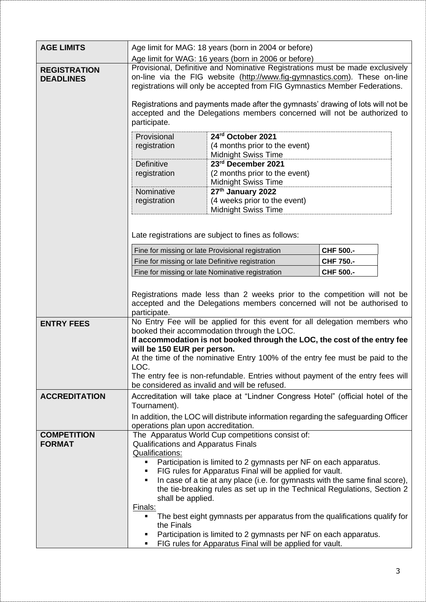| <b>AGE LIMITS</b>                       | Age limit for MAG: 18 years (born in 2004 or before)<br>Age limit for WAG: 16 years (born in 2006 or before)                                                                                                                                                                                                                                                                                                      |                                                                                                                                                       |                   |  |
|-----------------------------------------|-------------------------------------------------------------------------------------------------------------------------------------------------------------------------------------------------------------------------------------------------------------------------------------------------------------------------------------------------------------------------------------------------------------------|-------------------------------------------------------------------------------------------------------------------------------------------------------|-------------------|--|
| <b>REGISTRATION</b><br><b>DEADLINES</b> | Provisional, Definitive and Nominative Registrations must be made exclusively<br>on-line via the FIG website (http://www.fig-gymnastics.com). These on-line<br>registrations will only be accepted from FIG Gymnastics Member Federations.                                                                                                                                                                        |                                                                                                                                                       |                   |  |
|                                         | Registrations and payments made after the gymnasts' drawing of lots will not be<br>accepted and the Delegations members concerned will not be authorized to<br>participate.                                                                                                                                                                                                                                       |                                                                                                                                                       |                   |  |
|                                         | Provisional<br>registration                                                                                                                                                                                                                                                                                                                                                                                       | 24rd October 2021<br>(4 months prior to the event)<br><b>Midnight Swiss Time</b>                                                                      |                   |  |
|                                         | Definitive<br>registration                                                                                                                                                                                                                                                                                                                                                                                        | 23rd December 2021<br>(2 months prior to the event)<br><b>Midnight Swiss Time</b>                                                                     |                   |  |
|                                         | Nominative<br>registration                                                                                                                                                                                                                                                                                                                                                                                        | 27th January 2022<br>(4 weeks prior to the event)<br><b>Midnight Swiss Time</b>                                                                       |                   |  |
|                                         | Late registrations are subject to fines as follows:                                                                                                                                                                                                                                                                                                                                                               |                                                                                                                                                       |                   |  |
|                                         |                                                                                                                                                                                                                                                                                                                                                                                                                   | Fine for missing or late Provisional registration                                                                                                     | CHF 500 .-        |  |
|                                         | Fine for missing or late Definitive registration                                                                                                                                                                                                                                                                                                                                                                  |                                                                                                                                                       | <b>CHF 750 .-</b> |  |
|                                         |                                                                                                                                                                                                                                                                                                                                                                                                                   | Fine for missing or late Nominative registration                                                                                                      | CHF 500 .-        |  |
|                                         | participate.                                                                                                                                                                                                                                                                                                                                                                                                      | Registrations made less than 2 weeks prior to the competition will not be<br>accepted and the Delegations members concerned will not be authorised to |                   |  |
| <b>ENTRY FEES</b>                       | No Entry Fee will be applied for this event for all delegation members who<br>booked their accommodation through the LOC.<br>If accommodation is not booked through the LOC, the cost of the entry fee<br>will be 150 EUR per person.<br>At the time of the nominative Entry 100% of the entry fee must be paid to the<br>LOC.<br>The entry fee is non-refundable. Entries without payment of the entry fees will |                                                                                                                                                       |                   |  |
|                                         |                                                                                                                                                                                                                                                                                                                                                                                                                   | be considered as invalid and will be refused.                                                                                                         |                   |  |
| <b>ACCREDITATION</b>                    | Tournament).                                                                                                                                                                                                                                                                                                                                                                                                      | Accreditation will take place at "Lindner Congress Hotel" (official hotel of the                                                                      |                   |  |
|                                         |                                                                                                                                                                                                                                                                                                                                                                                                                   | In addition, the LOC will distribute information regarding the safeguarding Officer                                                                   |                   |  |
|                                         | operations plan upon accreditation.                                                                                                                                                                                                                                                                                                                                                                               |                                                                                                                                                       |                   |  |
| <b>COMPETITION</b>                      |                                                                                                                                                                                                                                                                                                                                                                                                                   | The Apparatus World Cup competitions consist of:                                                                                                      |                   |  |
| <b>FORMAT</b>                           | Qualifications and Apparatus Finals                                                                                                                                                                                                                                                                                                                                                                               |                                                                                                                                                       |                   |  |
|                                         | Qualifications:<br>π.                                                                                                                                                                                                                                                                                                                                                                                             | Participation is limited to 2 gymnasts per NF on each apparatus.                                                                                      |                   |  |
|                                         |                                                                                                                                                                                                                                                                                                                                                                                                                   | FIG rules for Apparatus Final will be applied for vault.                                                                                              |                   |  |
|                                         |                                                                                                                                                                                                                                                                                                                                                                                                                   | In case of a tie at any place (i.e. for gymnasts with the same final score),                                                                          |                   |  |
|                                         | shall be applied.                                                                                                                                                                                                                                                                                                                                                                                                 | the tie-breaking rules as set up in the Technical Regulations, Section 2                                                                              |                   |  |
|                                         | Finals:<br>the Finals                                                                                                                                                                                                                                                                                                                                                                                             | The best eight gymnasts per apparatus from the qualifications qualify for                                                                             |                   |  |
|                                         |                                                                                                                                                                                                                                                                                                                                                                                                                   | Participation is limited to 2 gymnasts per NF on each apparatus.<br>FIG rules for Apparatus Final will be applied for vault.                          |                   |  |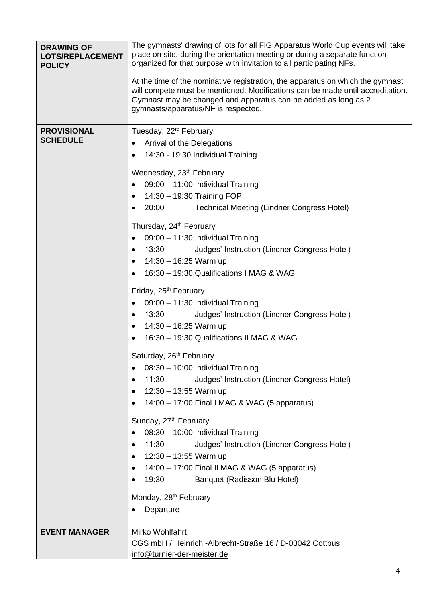| <b>DRAWING OF</b><br><b>LOTS/REPLACEMENT</b><br><b>POLICY</b> | The gymnasts' drawing of lots for all FIG Apparatus World Cup events will take<br>place on site, during the orientation meeting or during a separate function<br>organized for that purpose with invitation to all participating NFs.<br>At the time of the nominative registration, the apparatus on which the gymnast<br>will compete must be mentioned. Modifications can be made until accreditation.<br>Gymnast may be changed and apparatus can be added as long as 2<br>gymnasts/apparatus/NF is respected.                                                                                                                                                                                                                                                                                                                                                                                                                                                                                                                                                                                                                                                                                                                         |
|---------------------------------------------------------------|--------------------------------------------------------------------------------------------------------------------------------------------------------------------------------------------------------------------------------------------------------------------------------------------------------------------------------------------------------------------------------------------------------------------------------------------------------------------------------------------------------------------------------------------------------------------------------------------------------------------------------------------------------------------------------------------------------------------------------------------------------------------------------------------------------------------------------------------------------------------------------------------------------------------------------------------------------------------------------------------------------------------------------------------------------------------------------------------------------------------------------------------------------------------------------------------------------------------------------------------|
| <b>PROVISIONAL</b><br><b>SCHEDULE</b>                         | Tuesday, 22 <sup>rd</sup> February<br>Arrival of the Delegations<br>14:30 - 19:30 Individual Training<br>Wednesday, 23 <sup>th</sup> February<br>09:00 - 11:00 Individual Training<br>14:30 - 19:30 Training FOP<br>20:00<br><b>Technical Meeting (Lindner Congress Hotel)</b><br>Thursday, 24 <sup>th</sup> February<br>09:00 - 11:30 Individual Training<br>Judges' Instruction (Lindner Congress Hotel)<br>13:30<br>٠<br>14:30 - 16:25 Warm up<br>16:30 - 19:30 Qualifications I MAG & WAG<br>Friday, 25 <sup>th</sup> February<br>09:00 - 11:30 Individual Training<br>٠<br>13:30<br>Judges' Instruction (Lindner Congress Hotel)<br>٠<br>14:30 - 16:25 Warm up<br>16:30 - 19:30 Qualifications II MAG & WAG<br>Saturday, 26 <sup>th</sup> February<br>08:30 - 10:00 Individual Training<br>Judges' Instruction (Lindner Congress Hotel)<br>11:30<br>$12:30 - 13:55$ Warm up<br>14:00 - 17:00 Final I MAG & WAG (5 apparatus)<br>Sunday, 27 <sup>th</sup> February<br>08:30 - 10:00 Individual Training<br>11:30<br>Judges' Instruction (Lindner Congress Hotel)<br>12:30 - 13:55 Warm up<br>14:00 - 17:00 Final II MAG & WAG (5 apparatus)<br>19:30<br>Banquet (Radisson Blu Hotel)<br>Monday, 28 <sup>th</sup> February<br>Departure |
| <b>EVENT MANAGER</b>                                          | Mirko Wohlfahrt<br>CGS mbH / Heinrich - Albrecht-Straße 16 / D-03042 Cottbus<br>info@turnier-der-meister.de                                                                                                                                                                                                                                                                                                                                                                                                                                                                                                                                                                                                                                                                                                                                                                                                                                                                                                                                                                                                                                                                                                                                |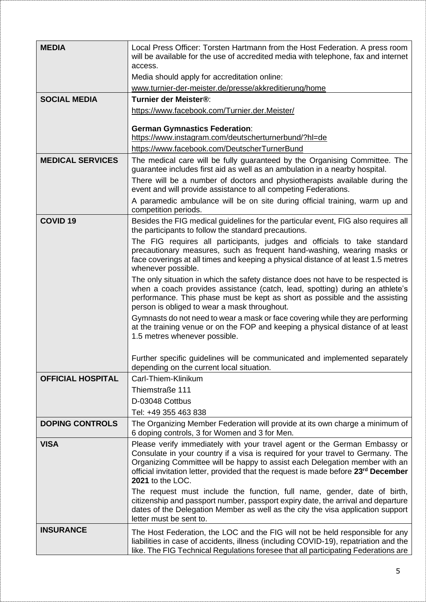| <b>MEDIA</b>             | Local Press Officer: Torsten Hartmann from the Host Federation. A press room<br>will be available for the use of accredited media with telephone, fax and internet<br>access.                                                                                                                                                                                     |
|--------------------------|-------------------------------------------------------------------------------------------------------------------------------------------------------------------------------------------------------------------------------------------------------------------------------------------------------------------------------------------------------------------|
|                          | Media should apply for accreditation online:                                                                                                                                                                                                                                                                                                                      |
|                          | www.turnier-der-meister.de/presse/akkreditierung/home                                                                                                                                                                                                                                                                                                             |
| <b>SOCIAL MEDIA</b>      | Turnier der Meister®:                                                                                                                                                                                                                                                                                                                                             |
|                          | https://www.facebook.com/Turnier.der.Meister/                                                                                                                                                                                                                                                                                                                     |
|                          | <b>German Gymnastics Federation:</b><br>https://www.instagram.com/deutscherturnerbund/?hl=de                                                                                                                                                                                                                                                                      |
|                          | https://www.facebook.com/DeutscherTurnerBund                                                                                                                                                                                                                                                                                                                      |
| <b>MEDICAL SERVICES</b>  | The medical care will be fully guaranteed by the Organising Committee. The<br>guarantee includes first aid as well as an ambulation in a nearby hospital.                                                                                                                                                                                                         |
|                          | There will be a number of doctors and physiotherapists available during the<br>event and will provide assistance to all competing Federations.                                                                                                                                                                                                                    |
|                          | A paramedic ambulance will be on site during official training, warm up and<br>competition periods.                                                                                                                                                                                                                                                               |
| <b>COVID 19</b>          | Besides the FIG medical guidelines for the particular event, FIG also requires all<br>the participants to follow the standard precautions.                                                                                                                                                                                                                        |
|                          | The FIG requires all participants, judges and officials to take standard<br>precautionary measures, such as frequent hand-washing, wearing masks or<br>face coverings at all times and keeping a physical distance of at least 1.5 metres<br>whenever possible.                                                                                                   |
|                          | The only situation in which the safety distance does not have to be respected is<br>when a coach provides assistance (catch, lead, spotting) during an athlete's<br>performance. This phase must be kept as short as possible and the assisting<br>person is obliged to wear a mask throughout.                                                                   |
|                          | Gymnasts do not need to wear a mask or face covering while they are performing<br>at the training venue or on the FOP and keeping a physical distance of at least<br>1.5 metres whenever possible.                                                                                                                                                                |
|                          | Further specific guidelines will be communicated and implemented separately<br>depending on the current local situation.                                                                                                                                                                                                                                          |
| <b>OFFICIAL HOSPITAL</b> | Carl-Thiem-Klinikum                                                                                                                                                                                                                                                                                                                                               |
|                          | Thiemstraße 111                                                                                                                                                                                                                                                                                                                                                   |
|                          | D-03048 Cottbus                                                                                                                                                                                                                                                                                                                                                   |
|                          | Tel: +49 355 463 838                                                                                                                                                                                                                                                                                                                                              |
| <b>DOPING CONTROLS</b>   | The Organizing Member Federation will provide at its own charge a minimum of<br>6 doping controls, 3 for Women and 3 for Men.                                                                                                                                                                                                                                     |
| <b>VISA</b>              | Please verify immediately with your travel agent or the German Embassy or<br>Consulate in your country if a visa is required for your travel to Germany. The<br>Organizing Committee will be happy to assist each Delegation member with an<br>official invitation letter, provided that the request is made before 23 <sup>rd</sup> December<br>2021 to the LOC. |
|                          | The request must include the function, full name, gender, date of birth,<br>citizenship and passport number, passport expiry date, the arrival and departure<br>dates of the Delegation Member as well as the city the visa application support<br>letter must be sent to.                                                                                        |
| <b>INSURANCE</b>         | The Host Federation, the LOC and the FIG will not be held responsible for any<br>liabilities in case of accidents, illness (including COVID-19), repatriation and the<br>like. The FIG Technical Regulations foresee that all participating Federations are                                                                                                       |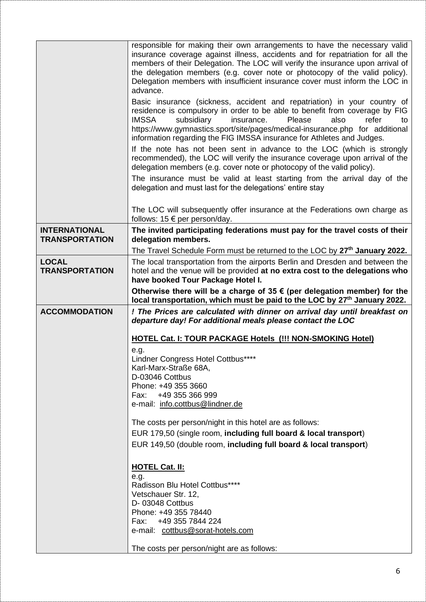|                                               | responsible for making their own arrangements to have the necessary valid<br>insurance coverage against illness, accidents and for repatriation for all the<br>members of their Delegation. The LOC will verify the insurance upon arrival of<br>the delegation members (e.g. cover note or photocopy of the valid policy).<br>Delegation members with insufficient insurance cover must inform the LOC in<br>advance.<br>Basic insurance (sickness, accident and repatriation) in your country of<br>residence is compulsory in order to be able to benefit from coverage by FIG<br><b>IMSSA</b><br>subsidiary<br>insurance.<br>Please<br>refer<br>also<br>to<br>https://www.gymnastics.sport/site/pages/medical-insurance.php for additional<br>information regarding the FIG IMSSA insurance for Athletes and Judges.<br>If the note has not been sent in advance to the LOC (which is strongly<br>recommended), the LOC will verify the insurance coverage upon arrival of the<br>delegation members (e.g. cover note or photocopy of the valid policy).<br>The insurance must be valid at least starting from the arrival day of the |
|-----------------------------------------------|-------------------------------------------------------------------------------------------------------------------------------------------------------------------------------------------------------------------------------------------------------------------------------------------------------------------------------------------------------------------------------------------------------------------------------------------------------------------------------------------------------------------------------------------------------------------------------------------------------------------------------------------------------------------------------------------------------------------------------------------------------------------------------------------------------------------------------------------------------------------------------------------------------------------------------------------------------------------------------------------------------------------------------------------------------------------------------------------------------------------------------------------|
|                                               | delegation and must last for the delegations' entire stay                                                                                                                                                                                                                                                                                                                                                                                                                                                                                                                                                                                                                                                                                                                                                                                                                                                                                                                                                                                                                                                                                 |
|                                               | The LOC will subsequently offer insurance at the Federations own charge as<br>follows: $15 \n∈ per person/day$ .                                                                                                                                                                                                                                                                                                                                                                                                                                                                                                                                                                                                                                                                                                                                                                                                                                                                                                                                                                                                                          |
| <b>INTERNATIONAL</b><br><b>TRANSPORTATION</b> | The invited participating federations must pay for the travel costs of their<br>delegation members.                                                                                                                                                                                                                                                                                                                                                                                                                                                                                                                                                                                                                                                                                                                                                                                                                                                                                                                                                                                                                                       |
|                                               | The Travel Schedule Form must be returned to the LOC by 27 <sup>th</sup> January 2022.                                                                                                                                                                                                                                                                                                                                                                                                                                                                                                                                                                                                                                                                                                                                                                                                                                                                                                                                                                                                                                                    |
| <b>LOCAL</b><br><b>TRANSPORTATION</b>         | The local transportation from the airports Berlin and Dresden and between the<br>hotel and the venue will be provided at no extra cost to the delegations who<br>have booked Tour Package Hotel I.                                                                                                                                                                                                                                                                                                                                                                                                                                                                                                                                                                                                                                                                                                                                                                                                                                                                                                                                        |
|                                               | Otherwise there will be a charge of 35 $\epsilon$ (per delegation member) for the<br>local transportation, which must be paid to the LOC by 27th January 2022.                                                                                                                                                                                                                                                                                                                                                                                                                                                                                                                                                                                                                                                                                                                                                                                                                                                                                                                                                                            |
| <b>ACCOMMODATION</b>                          | ! The Prices are calculated with dinner on arrival day until breakfast on                                                                                                                                                                                                                                                                                                                                                                                                                                                                                                                                                                                                                                                                                                                                                                                                                                                                                                                                                                                                                                                                 |
|                                               | departure day! For additional meals please contact the LOC                                                                                                                                                                                                                                                                                                                                                                                                                                                                                                                                                                                                                                                                                                                                                                                                                                                                                                                                                                                                                                                                                |
|                                               | <b>HOTEL Cat. I: TOUR PACKAGE Hotels (!!! NON-SMOKING Hotel)</b>                                                                                                                                                                                                                                                                                                                                                                                                                                                                                                                                                                                                                                                                                                                                                                                                                                                                                                                                                                                                                                                                          |
|                                               | e.g.<br>Lindner Congress Hotel Cottbus****                                                                                                                                                                                                                                                                                                                                                                                                                                                                                                                                                                                                                                                                                                                                                                                                                                                                                                                                                                                                                                                                                                |
|                                               | Karl-Marx-Straße 68A,                                                                                                                                                                                                                                                                                                                                                                                                                                                                                                                                                                                                                                                                                                                                                                                                                                                                                                                                                                                                                                                                                                                     |
|                                               | D-03046 Cottbus                                                                                                                                                                                                                                                                                                                                                                                                                                                                                                                                                                                                                                                                                                                                                                                                                                                                                                                                                                                                                                                                                                                           |
|                                               | Phone: +49 355 3660<br>+49 355 366 999<br>Fax:                                                                                                                                                                                                                                                                                                                                                                                                                                                                                                                                                                                                                                                                                                                                                                                                                                                                                                                                                                                                                                                                                            |
|                                               | e-mail: info.cottbus@lindner.de                                                                                                                                                                                                                                                                                                                                                                                                                                                                                                                                                                                                                                                                                                                                                                                                                                                                                                                                                                                                                                                                                                           |
|                                               | The costs per person/night in this hotel are as follows:                                                                                                                                                                                                                                                                                                                                                                                                                                                                                                                                                                                                                                                                                                                                                                                                                                                                                                                                                                                                                                                                                  |
|                                               | EUR 179,50 (single room, including full board & local transport)                                                                                                                                                                                                                                                                                                                                                                                                                                                                                                                                                                                                                                                                                                                                                                                                                                                                                                                                                                                                                                                                          |
|                                               | EUR 149,50 (double room, including full board & local transport)                                                                                                                                                                                                                                                                                                                                                                                                                                                                                                                                                                                                                                                                                                                                                                                                                                                                                                                                                                                                                                                                          |
|                                               | <b>HOTEL Cat. II:</b>                                                                                                                                                                                                                                                                                                                                                                                                                                                                                                                                                                                                                                                                                                                                                                                                                                                                                                                                                                                                                                                                                                                     |
|                                               | e.g.<br>Radisson Blu Hotel Cottbus****                                                                                                                                                                                                                                                                                                                                                                                                                                                                                                                                                                                                                                                                                                                                                                                                                                                                                                                                                                                                                                                                                                    |
|                                               | Vetschauer Str. 12,                                                                                                                                                                                                                                                                                                                                                                                                                                                                                                                                                                                                                                                                                                                                                                                                                                                                                                                                                                                                                                                                                                                       |
|                                               | D-03048 Cottbus<br>Phone: +49 355 78440                                                                                                                                                                                                                                                                                                                                                                                                                                                                                                                                                                                                                                                                                                                                                                                                                                                                                                                                                                                                                                                                                                   |
|                                               | Fax: +49 355 7844 224                                                                                                                                                                                                                                                                                                                                                                                                                                                                                                                                                                                                                                                                                                                                                                                                                                                                                                                                                                                                                                                                                                                     |
|                                               | e-mail: cottbus@sorat-hotels.com                                                                                                                                                                                                                                                                                                                                                                                                                                                                                                                                                                                                                                                                                                                                                                                                                                                                                                                                                                                                                                                                                                          |
|                                               | The costs per person/night are as follows:                                                                                                                                                                                                                                                                                                                                                                                                                                                                                                                                                                                                                                                                                                                                                                                                                                                                                                                                                                                                                                                                                                |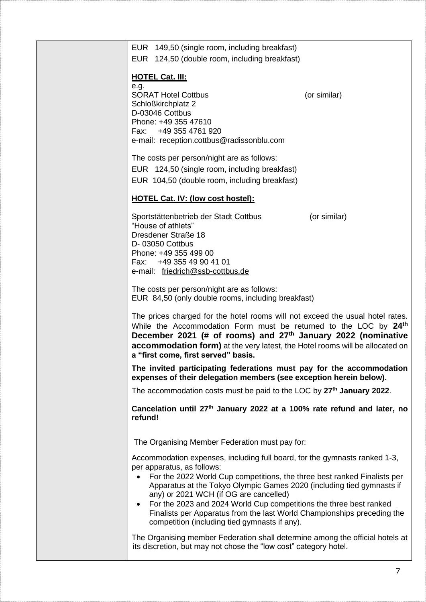| EUR 149,50 (single room, including breakfast)<br>EUR 124,50 (double room, including breakfast)                                                                                                                                                                                                                                                                   |              |
|------------------------------------------------------------------------------------------------------------------------------------------------------------------------------------------------------------------------------------------------------------------------------------------------------------------------------------------------------------------|--------------|
|                                                                                                                                                                                                                                                                                                                                                                  |              |
| <b>HOTEL Cat. III:</b><br>e.g.                                                                                                                                                                                                                                                                                                                                   |              |
| <b>SORAT Hotel Cottbus</b>                                                                                                                                                                                                                                                                                                                                       | (or similar) |
| Schloßkirchplatz 2<br>D-03046 Cottbus                                                                                                                                                                                                                                                                                                                            |              |
| Phone: +49 355 47610                                                                                                                                                                                                                                                                                                                                             |              |
| Fax: +49 355 4761 920                                                                                                                                                                                                                                                                                                                                            |              |
| e-mail: reception.cottbus@radissonblu.com                                                                                                                                                                                                                                                                                                                        |              |
| The costs per person/night are as follows:                                                                                                                                                                                                                                                                                                                       |              |
| EUR 124,50 (single room, including breakfast)                                                                                                                                                                                                                                                                                                                    |              |
| EUR 104,50 (double room, including breakfast)                                                                                                                                                                                                                                                                                                                    |              |
| <b>HOTEL Cat. IV: (low cost hostel):</b>                                                                                                                                                                                                                                                                                                                         |              |
| Sportstättenbetrieb der Stadt Cottbus                                                                                                                                                                                                                                                                                                                            | (or similar) |
| "House of athlets"<br>Dresdener Straße 18                                                                                                                                                                                                                                                                                                                        |              |
| D-03050 Cottbus                                                                                                                                                                                                                                                                                                                                                  |              |
| Phone: +49 355 499 00<br>+49 355 49 90 41 01<br>Fax:                                                                                                                                                                                                                                                                                                             |              |
| e-mail: friedrich@ssb-cottbus.de                                                                                                                                                                                                                                                                                                                                 |              |
| The costs per person/night are as follows:<br>EUR 84,50 (only double rooms, including breakfast)                                                                                                                                                                                                                                                                 |              |
| The prices charged for the hotel rooms will not exceed the usual hotel rates.<br>While the Accommodation Form must be returned to the LOC by 24 <sup>th</sup><br>December 2021 (# of rooms) and 27 <sup>th</sup> January 2022 (nominative<br>accommodation form) at the very latest, the Hotel rooms will be allocated on<br>a "first come, first served" basis. |              |
| The invited participating federations must pay for the accommodation<br>expenses of their delegation members (see exception herein below).                                                                                                                                                                                                                       |              |
| The accommodation costs must be paid to the LOC by 27 <sup>th</sup> January 2022.                                                                                                                                                                                                                                                                                |              |
| Cancelation until 27 <sup>th</sup> January 2022 at a 100% rate refund and later, no<br>refund!                                                                                                                                                                                                                                                                   |              |
| The Organising Member Federation must pay for:                                                                                                                                                                                                                                                                                                                   |              |
| Accommodation expenses, including full board, for the gymnasts ranked 1-3,<br>per apparatus, as follows:                                                                                                                                                                                                                                                         |              |
| For the 2022 World Cup competitions, the three best ranked Finalists per<br>Apparatus at the Tokyo Olympic Games 2020 (including tied gymnasts if<br>any) or 2021 WCH (if OG are cancelled)                                                                                                                                                                      |              |
| For the 2023 and 2024 World Cup competitions the three best ranked<br>$\bullet$<br>Finalists per Apparatus from the last World Championships preceding the<br>competition (including tied gymnasts if any).                                                                                                                                                      |              |
| The Organising member Federation shall determine among the official hotels at<br>its discretion, but may not chose the "low cost" category hotel.                                                                                                                                                                                                                |              |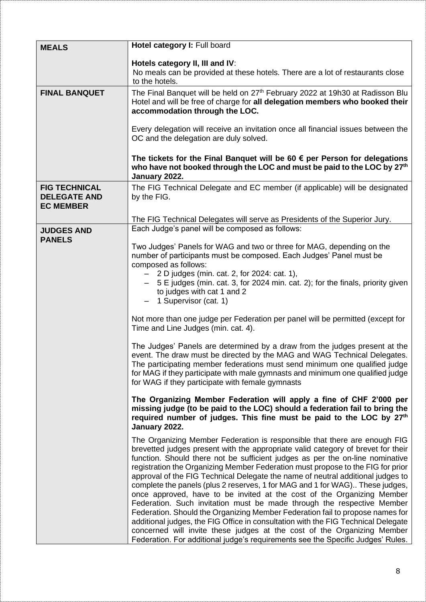| <b>MEALS</b>                                                    | Hotel category I: Full board                                                                                                                                                                                                                                                                                                                                                                                                                                                                                                                                                                                                                                                                                                                                                                                                                                                                                                                                                                  |
|-----------------------------------------------------------------|-----------------------------------------------------------------------------------------------------------------------------------------------------------------------------------------------------------------------------------------------------------------------------------------------------------------------------------------------------------------------------------------------------------------------------------------------------------------------------------------------------------------------------------------------------------------------------------------------------------------------------------------------------------------------------------------------------------------------------------------------------------------------------------------------------------------------------------------------------------------------------------------------------------------------------------------------------------------------------------------------|
|                                                                 | Hotels category II, III and IV:<br>No meals can be provided at these hotels. There are a lot of restaurants close<br>to the hotels.                                                                                                                                                                                                                                                                                                                                                                                                                                                                                                                                                                                                                                                                                                                                                                                                                                                           |
| <b>FINAL BANQUET</b>                                            | The Final Banquet will be held on 27 <sup>th</sup> February 2022 at 19h30 at Radisson Blu<br>Hotel and will be free of charge for all delegation members who booked their<br>accommodation through the LOC.                                                                                                                                                                                                                                                                                                                                                                                                                                                                                                                                                                                                                                                                                                                                                                                   |
|                                                                 | Every delegation will receive an invitation once all financial issues between the<br>OC and the delegation are duly solved.                                                                                                                                                                                                                                                                                                                                                                                                                                                                                                                                                                                                                                                                                                                                                                                                                                                                   |
|                                                                 | The tickets for the Final Banquet will be 60 $\epsilon$ per Person for delegations<br>who have not booked through the LOC and must be paid to the LOC by 27 <sup>th</sup><br>January 2022.                                                                                                                                                                                                                                                                                                                                                                                                                                                                                                                                                                                                                                                                                                                                                                                                    |
| <b>FIG TECHNICAL</b><br><b>DELEGATE AND</b><br><b>EC MEMBER</b> | The FIG Technical Delegate and EC member (if applicable) will be designated<br>by the FIG.                                                                                                                                                                                                                                                                                                                                                                                                                                                                                                                                                                                                                                                                                                                                                                                                                                                                                                    |
|                                                                 | The FIG Technical Delegates will serve as Presidents of the Superior Jury.<br>Each Judge's panel will be composed as follows:                                                                                                                                                                                                                                                                                                                                                                                                                                                                                                                                                                                                                                                                                                                                                                                                                                                                 |
| <b>JUDGES AND</b><br><b>PANELS</b>                              |                                                                                                                                                                                                                                                                                                                                                                                                                                                                                                                                                                                                                                                                                                                                                                                                                                                                                                                                                                                               |
|                                                                 | Two Judges' Panels for WAG and two or three for MAG, depending on the<br>number of participants must be composed. Each Judges' Panel must be<br>composed as follows:<br>$-$ 2 D judges (min. cat. 2, for 2024: cat. 1),<br>- 5 E judges (min. cat. 3, for 2024 min. cat. 2); for the finals, priority given<br>to judges with cat 1 and 2                                                                                                                                                                                                                                                                                                                                                                                                                                                                                                                                                                                                                                                     |
|                                                                 | 1 Supervisor (cat. 1)                                                                                                                                                                                                                                                                                                                                                                                                                                                                                                                                                                                                                                                                                                                                                                                                                                                                                                                                                                         |
|                                                                 | Not more than one judge per Federation per panel will be permitted (except for<br>Time and Line Judges (min. cat. 4).                                                                                                                                                                                                                                                                                                                                                                                                                                                                                                                                                                                                                                                                                                                                                                                                                                                                         |
|                                                                 | The Judges' Panels are determined by a draw from the judges present at the<br>event. The draw must be directed by the MAG and WAG Technical Delegates.<br>The participating member federations must send minimum one qualified judge<br>for MAG if they participate with male gymnasts and minimum one qualified judge<br>for WAG if they participate with female gymnasts                                                                                                                                                                                                                                                                                                                                                                                                                                                                                                                                                                                                                    |
|                                                                 | The Organizing Member Federation will apply a fine of CHF 2'000 per<br>missing judge (to be paid to the LOC) should a federation fail to bring the<br>required number of judges. This fine must be paid to the LOC by 27 <sup>th</sup><br>January 2022.                                                                                                                                                                                                                                                                                                                                                                                                                                                                                                                                                                                                                                                                                                                                       |
|                                                                 | The Organizing Member Federation is responsible that there are enough FIG<br>brevetted judges present with the appropriate valid category of brevet for their<br>function. Should there not be sufficient judges as per the on-line nominative<br>registration the Organizing Member Federation must propose to the FIG for prior<br>approval of the FIG Technical Delegate the name of neutral additional judges to<br>complete the panels (plus 2 reserves, 1 for MAG and 1 for WAG). These judges,<br>once approved, have to be invited at the cost of the Organizing Member<br>Federation. Such invitation must be made through the respective Member<br>Federation. Should the Organizing Member Federation fail to propose names for<br>additional judges, the FIG Office in consultation with the FIG Technical Delegate<br>concerned will invite these judges at the cost of the Organizing Member<br>Federation. For additional judge's requirements see the Specific Judges' Rules. |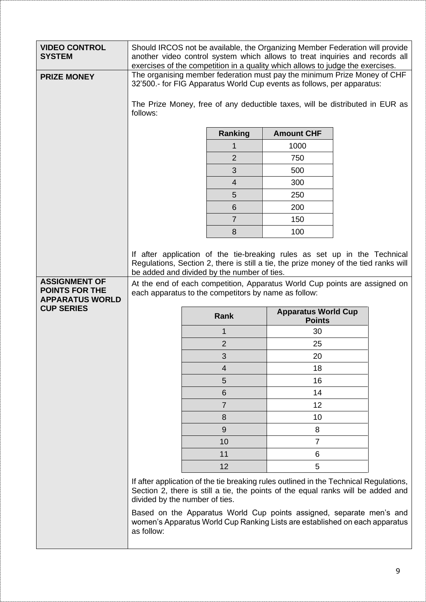| <b>VIDEO CONTROL</b><br><b>SYSTEM</b>       | Should IRCOS not be available, the Organizing Member Federation will provide<br>another video control system which allows to treat inquiries and records all<br>exercises of the competition in a quality which allows to judge the exercises.                                                                                                         |                |                            |                                                                                                                                                                           |
|---------------------------------------------|--------------------------------------------------------------------------------------------------------------------------------------------------------------------------------------------------------------------------------------------------------------------------------------------------------------------------------------------------------|----------------|----------------------------|---------------------------------------------------------------------------------------------------------------------------------------------------------------------------|
| <b>PRIZE MONEY</b>                          | The organising member federation must pay the minimum Prize Money of CHF<br>32'500.- for FIG Apparatus World Cup events as follows, per apparatus:                                                                                                                                                                                                     |                |                            |                                                                                                                                                                           |
|                                             | The Prize Money, free of any deductible taxes, will be distributed in EUR as<br>follows:                                                                                                                                                                                                                                                               |                |                            |                                                                                                                                                                           |
|                                             | <b>Amount CHF</b><br><b>Ranking</b>                                                                                                                                                                                                                                                                                                                    |                |                            |                                                                                                                                                                           |
|                                             |                                                                                                                                                                                                                                                                                                                                                        |                | 1000                       |                                                                                                                                                                           |
|                                             |                                                                                                                                                                                                                                                                                                                                                        | $\overline{2}$ | 750                        |                                                                                                                                                                           |
|                                             |                                                                                                                                                                                                                                                                                                                                                        | 3              | 500                        |                                                                                                                                                                           |
|                                             |                                                                                                                                                                                                                                                                                                                                                        | $\overline{4}$ | 300                        |                                                                                                                                                                           |
|                                             |                                                                                                                                                                                                                                                                                                                                                        | 5              | 250                        |                                                                                                                                                                           |
|                                             |                                                                                                                                                                                                                                                                                                                                                        | 6              | 200                        |                                                                                                                                                                           |
|                                             |                                                                                                                                                                                                                                                                                                                                                        | $\overline{7}$ | 150                        |                                                                                                                                                                           |
|                                             |                                                                                                                                                                                                                                                                                                                                                        | 8              | 100                        |                                                                                                                                                                           |
| <b>ASSIGNMENT OF</b>                        | If after application of the tie-breaking rules as set up in the Technical<br>Regulations, Section 2, there is still a tie, the prize money of the tied ranks will<br>be added and divided by the number of ties.<br>At the end of each competition, Apparatus World Cup points are assigned on<br>each apparatus to the competitors by name as follow: |                |                            |                                                                                                                                                                           |
| <b>POINTS FOR THE</b>                       |                                                                                                                                                                                                                                                                                                                                                        |                |                            |                                                                                                                                                                           |
| <b>APPARATUS WORLD</b><br><b>CUP SERIES</b> |                                                                                                                                                                                                                                                                                                                                                        | <b>Rank</b>    | <b>Apparatus World Cup</b> |                                                                                                                                                                           |
|                                             |                                                                                                                                                                                                                                                                                                                                                        | 1              | <b>Points</b><br>30        |                                                                                                                                                                           |
|                                             |                                                                                                                                                                                                                                                                                                                                                        | $\overline{2}$ | 25                         |                                                                                                                                                                           |
|                                             |                                                                                                                                                                                                                                                                                                                                                        | 3              | 20                         |                                                                                                                                                                           |
|                                             |                                                                                                                                                                                                                                                                                                                                                        | 4              | 18                         |                                                                                                                                                                           |
|                                             |                                                                                                                                                                                                                                                                                                                                                        | 5              | 16                         |                                                                                                                                                                           |
|                                             |                                                                                                                                                                                                                                                                                                                                                        | 6              | 14                         |                                                                                                                                                                           |
|                                             |                                                                                                                                                                                                                                                                                                                                                        | $\overline{7}$ | 12                         |                                                                                                                                                                           |
|                                             |                                                                                                                                                                                                                                                                                                                                                        | 8              | 10                         |                                                                                                                                                                           |
|                                             |                                                                                                                                                                                                                                                                                                                                                        | $\overline{9}$ | 8                          |                                                                                                                                                                           |
|                                             |                                                                                                                                                                                                                                                                                                                                                        | 10             | $\overline{7}$             |                                                                                                                                                                           |
|                                             |                                                                                                                                                                                                                                                                                                                                                        | 11             | 6                          |                                                                                                                                                                           |
|                                             |                                                                                                                                                                                                                                                                                                                                                        | 12             | 5                          |                                                                                                                                                                           |
|                                             | divided by the number of ties.                                                                                                                                                                                                                                                                                                                         |                |                            | If after application of the tie breaking rules outlined in the Technical Regulations,<br>Section 2, there is still a tie, the points of the equal ranks will be added and |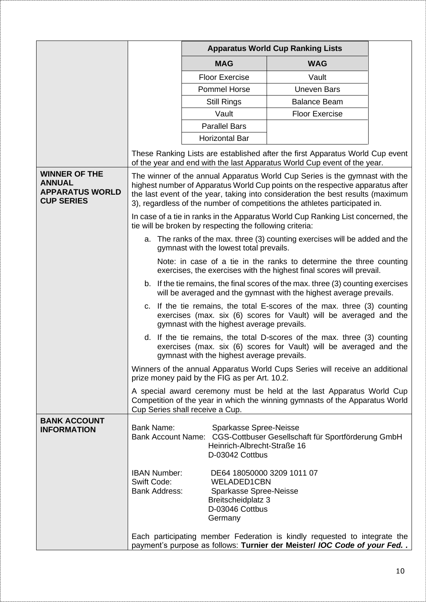|                                                                                      |                                                                   | <b>Apparatus World Cup Ranking Lists</b>                                                                                       |                                                                                                                                                                                                                                                                                                                                |  |
|--------------------------------------------------------------------------------------|-------------------------------------------------------------------|--------------------------------------------------------------------------------------------------------------------------------|--------------------------------------------------------------------------------------------------------------------------------------------------------------------------------------------------------------------------------------------------------------------------------------------------------------------------------|--|
|                                                                                      |                                                                   | <b>MAG</b>                                                                                                                     | <b>WAG</b>                                                                                                                                                                                                                                                                                                                     |  |
|                                                                                      |                                                                   | <b>Floor Exercise</b>                                                                                                          | Vault                                                                                                                                                                                                                                                                                                                          |  |
|                                                                                      |                                                                   | <b>Pommel Horse</b>                                                                                                            | <b>Uneven Bars</b>                                                                                                                                                                                                                                                                                                             |  |
|                                                                                      |                                                                   | <b>Still Rings</b>                                                                                                             | <b>Balance Beam</b>                                                                                                                                                                                                                                                                                                            |  |
|                                                                                      |                                                                   | Vault                                                                                                                          | <b>Floor Exercise</b>                                                                                                                                                                                                                                                                                                          |  |
|                                                                                      |                                                                   | <b>Parallel Bars</b>                                                                                                           |                                                                                                                                                                                                                                                                                                                                |  |
|                                                                                      |                                                                   | <b>Horizontal Bar</b>                                                                                                          |                                                                                                                                                                                                                                                                                                                                |  |
|                                                                                      |                                                                   |                                                                                                                                | These Ranking Lists are established after the first Apparatus World Cup event<br>of the year and end with the last Apparatus World Cup event of the year.                                                                                                                                                                      |  |
| <b>WINNER OF THE</b><br><b>ANNUAL</b><br><b>APPARATUS WORLD</b><br><b>CUP SERIES</b> |                                                                   |                                                                                                                                | The winner of the annual Apparatus World Cup Series is the gymnast with the<br>highest number of Apparatus World Cup points on the respective apparatus after<br>the last event of the year, taking into consideration the best results (maximum<br>3), regardless of the number of competitions the athletes participated in. |  |
|                                                                                      |                                                                   | tie will be broken by respecting the following criteria:                                                                       | In case of a tie in ranks in the Apparatus World Cup Ranking List concerned, the                                                                                                                                                                                                                                               |  |
|                                                                                      |                                                                   | gymnast with the lowest total prevails.                                                                                        | a. The ranks of the max. three (3) counting exercises will be added and the                                                                                                                                                                                                                                                    |  |
|                                                                                      |                                                                   |                                                                                                                                | Note: in case of a tie in the ranks to determine the three counting<br>exercises, the exercises with the highest final scores will prevail.                                                                                                                                                                                    |  |
|                                                                                      |                                                                   |                                                                                                                                | b. If the tie remains, the final scores of the max. three (3) counting exercises<br>will be averaged and the gymnast with the highest average prevails.                                                                                                                                                                        |  |
|                                                                                      |                                                                   | gymnast with the highest average prevails.                                                                                     | c. If the tie remains, the total E-scores of the max. three (3) counting<br>exercises (max. six (6) scores for Vault) will be averaged and the                                                                                                                                                                                 |  |
|                                                                                      |                                                                   | gymnast with the highest average prevails.                                                                                     | d. If the tie remains, the total D-scores of the max. three (3) counting<br>exercises (max. six (6) scores for Vault) will be averaged and the                                                                                                                                                                                 |  |
|                                                                                      |                                                                   | prize money paid by the FIG as per Art. 10.2.                                                                                  | Winners of the annual Apparatus World Cups Series will receive an additional                                                                                                                                                                                                                                                   |  |
|                                                                                      |                                                                   | Cup Series shall receive a Cup.                                                                                                | A special award ceremony must be held at the last Apparatus World Cup<br>Competition of the year in which the winning gymnasts of the Apparatus World                                                                                                                                                                          |  |
| <b>BANK ACCOUNT</b><br><b>INFORMATION</b>                                            | <b>Bank Name:</b>                                                 | Sparkasse Spree-Neisse<br>Heinrich-Albrecht-Straße 16<br>D-03042 Cottbus                                                       | Bank Account Name: CGS-Cottbuser Gesellschaft für Sportförderung GmbH                                                                                                                                                                                                                                                          |  |
|                                                                                      | <b>IBAN Number:</b><br><b>Swift Code:</b><br><b>Bank Address:</b> | DE64 18050000 3209 1011 07<br><b>WELADED1CBN</b><br>Sparkasse Spree-Neisse<br>Breitscheidplatz 3<br>D-03046 Cottbus<br>Germany |                                                                                                                                                                                                                                                                                                                                |  |
|                                                                                      |                                                                   |                                                                                                                                | Each participating member Federation is kindly requested to integrate the<br>payment's purpose as follows: Turnier der Meister/ IOC Code of your Fed. .                                                                                                                                                                        |  |